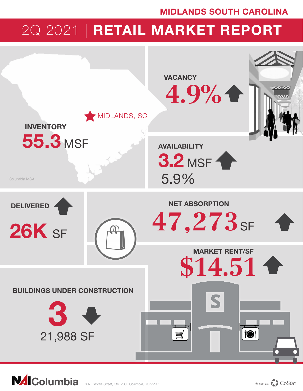### MIDLANDS SOUTH CAROLINA

# 2Q 2021 | RETAIL MARKET REPORT



**NAIColumbia**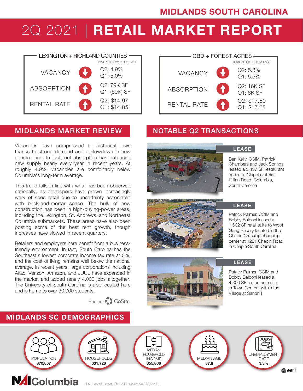# 2Q 2021 | RETAIL MARKET REPORT





### MIDLANDS MARKET REVIEW NOTABLE Q2 TRANSACTIONS

Vacancies have compressed to historical lows thanks to strong demand and a slowdown in new construction. In fact, net absorption has outpaced new supply nearly every year in recent years. At roughly 4.9%, vacancies are comfortably below Columbia's long-term average.

This trend falls in line with what has been observed nationally, as developers have grown increasingly wary of spec retail due to uncertainty associated with brick-and-mortar space. The bulk of new construction has been in high-buying-power areas, including the Lexington, St. Andrews, and Northeast Columbia submarkets. These areas have also been posting some of the best rent growth, though increases have slowed in recent quarters.

Retailers and employers here benefit from a businessfriendly environment. In fact, South Carolina has the Southeast's lowest corporate income tax rate at 5%, and the cost of living remains well below the national average. In recent years, large corporations including Aflac, Verizon, Amazon, and JUUL have expanded in the market and added nearly 4,000 jobs altogether. The University of South Carolina is also located here and is home to over 30,000 students.

MIDLANDS SC DEMOGRAPHICS

Source: CoStar



LEASE

Ben Kelly, CCIM, Patrick Chambers and Jack Springs leased a 3,437 SF restaurant space to Chipotle at 451 Killian Road, Columbia, South Carolina





#### **LEASE**

Patrick Palmer, CCIM and Bobby Balboni leased a 1,602 SF retail suite to Woof Gang Bakery located in the Chapin Crossing shopping center at 1221 Chapin Road in Chapin South Carolina



#### **LEASE**

Patrick Palmer, CCIM and Bobby Balboni leased a 4,300 SF restaurant suite in Town Center I within the Village at Sandhill